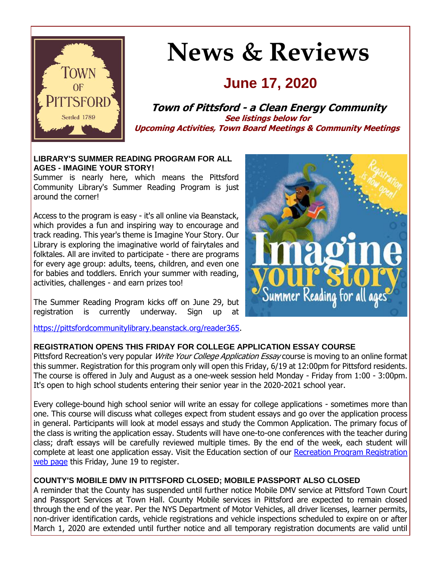

# **News & Reviews**

# **June 17, 2020**

**Town of Pittsford - a Clean Energy Community See listings below for Upcoming Activities, Town Board Meetings & Community Meetings**

#### **LIBRARY'S SUMMER READING PROGRAM FOR ALL AGES - IMAGINE YOUR STORY!**

Summer is nearly here, which means the Pittsford Community Library's Summer Reading Program is just around the corner!

Access to the program is easy - it's all online via Beanstack, which provides a fun and inspiring way to encourage and track reading. This year's theme is Imagine Your Story. Our Library is exploring the imaginative world of fairytales and folktales. All are invited to participate - there are programs for every age group: adults, teens, children, and even one for babies and toddlers. Enrich your summer with reading, activities, challenges - and earn prizes too!

The Summer Reading Program kicks off on June 29, but registration is currently underway. Sign up

[https://pittsfordcommunitylibrary.beanstack.org/reader365.](http://r20.rs6.net/tn.jsp?f=001v0yuu2jarmQORDI6Qux3eY0sw4yONdYz4JnuAU3kYvPt4rLAmR9r2VyBS7GMg0i63gCS0LbzU1lkcpnMADO2gFK_NfYpY_H66oYEsr3n8dXhNTVCkSgRnJAc4rGz9Vqtr03yYoahNhSzbRwBJwnpPTFILYWVCCrOEha992Qj4fQg9eL2PqJCO20Cseq45eWzI10snu7WCYiComml-szi_DewoJSAkkFNFrbgGUuPpMhIksSeOFM1EtdiIeyPbpjB8OnkvRfht1vDIVYJT8eEfBLLaDagbS2B6QzYUj5V9eVME3KL-mtcoETSuZxyxm2grWnwtKVmfIw=&c=hlmTgFO8T4kKx8CVuWExAQ45Qnkhb-T3iUHIVULCXOJgIbPr7j_5yA==&ch=7j5P-rOAWbH3JZb2j2EUQrmAUttixFURbWf2XBrnGXfjcGfebUinXg==)



#### **REGISTRATION OPENS THIS FRIDAY FOR COLLEGE APPLICATION ESSAY COURSE**

Pittsford Recreation's very popular Write Your College Application Essay course is moving to an online format this summer. Registration for this program only will open this Friday, 6/19 at 12:00pm for Pittsford residents. The course is offered in July and August as a one-week session held Monday - Friday from 1:00 - 3:00pm. It's open to high school students entering their senior year in the 2020-2021 school year.

Every college-bound high school senior will write an essay for college applications - sometimes more than one. This course will discuss what colleges expect from student essays and go over the application process in general. Participants will look at model essays and study the Common Application. The primary focus of the class is writing the application essay. Students will have one-to-one conferences with the teacher during class; draft essays will be carefully reviewed multiple times. By the end of the week, each student will complete at least one application essay. Visit the Education section of our Recreation Program Registration [web page](http://r20.rs6.net/tn.jsp?f=001v0yuu2jarmQORDI6Qux3eY0sw4yONdYz4JnuAU3kYvPt4rLAmR9r2VCIvcc9G4QTCKjjy7LgjZP47GS48qQQMGs8M-6SJ_ynLJ-rv0xg6yu8n3t3QI1uiybISveuoW_EpPUCxgpsDZ_UzykPrVBTNQor9cqCe6GP36XIwfn-fl9yL1p5OtlXIuD0kZavqt2w41ovfPDVdJn0mk6r-xo3vmougTzT55PcvpvfEibK7MjaSY-7t5kPhe2WyUsbYfjsYwJASUN4GDdJEBydlm-J52jZPhDQNyAgRa4dd7xXVm1ha3yEVJf4s2E8sjgf7S_3rpPKmyUd9w144Zyntt0SDphZ_t-UG3bR&c=hlmTgFO8T4kKx8CVuWExAQ45Qnkhb-T3iUHIVULCXOJgIbPr7j_5yA==&ch=7j5P-rOAWbH3JZb2j2EUQrmAUttixFURbWf2XBrnGXfjcGfebUinXg==) this Friday, June 19 to register.

#### **COUNTY'S MOBILE DMV IN PITTSFORD CLOSED; MOBILE PASSPORT ALSO CLOSED**

A reminder that the County has suspended until further notice Mobile DMV service at Pittsford Town Court and Passport Services at Town Hall. County Mobile services in Pittsford are expected to remain closed through the end of the year. Per the NYS Department of Motor Vehicles, all driver licenses, learner permits, non-driver identification cards, vehicle registrations and vehicle inspections scheduled to expire on or after March 1, 2020 are extended until further notice and all temporary registration documents are valid until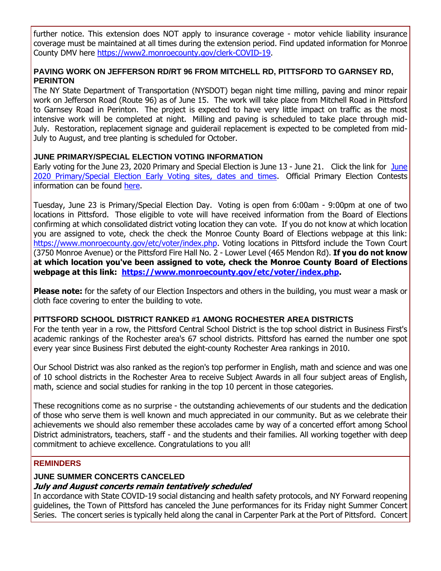further notice. This extension does NOT apply to insurance coverage - motor vehicle liability insurance coverage must be maintained at all times during the extension period. Find updated information for Monroe County DMV here [https://www2.monroecounty.gov/clerk-COVID-19.](http://r20.rs6.net/tn.jsp?f=001v0yuu2jarmQORDI6Qux3eY0sw4yONdYz4JnuAU3kYvPt4rLAmR9r2c2DrB9dTZAZwTm4AriQBv0nhGSg3OFkCj0lnWlfqATkcMBa_ECTLzlE6NMwZvIIdCU1ApF27QvxF46CWpauUwIJMTk1OUZrd_C4O-0ZQpZaQCUV4tLo9pA7StlzOXihy09pjlMy04S6JKn-FERUgkiF6FxjcyjaekBmw3J8cJMbNkXfHZwWXTiEriRhZ9qZbBJ0J7OaqcZyizcsJ_PH-7BMTsFUFfINvCsF_xAmLhbNaege-_P8KxOQoxiLkhKDex9PvyWWMae2&c=hlmTgFO8T4kKx8CVuWExAQ45Qnkhb-T3iUHIVULCXOJgIbPr7j_5yA==&ch=7j5P-rOAWbH3JZb2j2EUQrmAUttixFURbWf2XBrnGXfjcGfebUinXg==)

#### **PAVING WORK ON JEFFERSON RD/RT 96 FROM MITCHELL RD, PITTSFORD TO GARNSEY RD, PERINTON**

The NY State Department of Transportation (NYSDOT) began night time milling, paving and minor repair work on Jefferson Road (Route 96) as of June 15. The work will take place from Mitchell Road in Pittsford to Garnsey Road in Perinton. The project is expected to have very little impact on traffic as the most intensive work will be completed at night. Milling and paving is scheduled to take place through mid-July. Restoration, replacement signage and guiderail replacement is expected to be completed from mid-July to August, and tree planting is scheduled for October.

#### **JUNE PRIMARY/SPECIAL ELECTION VOTING INFORMATION**

Early voting for the [June](http://r20.rs6.net/tn.jsp?f=001v0yuu2jarmQORDI6Qux3eY0sw4yONdYz4JnuAU3kYvPt4rLAmR9r2VyBS7GMg0i61moghbBIY-Ai0ZB2Yib-ZATsxRGNUoI0SJP21DaxjswXaWwfOYZt7Fs8TXwwdUM9dpw_YqIJ2s6Reea59IRDscqgZ4jyWYfjGfQEVhP7tZRmTSNWvB4Lvr57ODnngIbNtRKN02rRAuCCoVeo9sX2iBCYBfJQD7LUhLt9F5rWbXUdWPDQvYVsHxC5aCyTvDOJl4WcWVQGmMdpBs1-IXT5-hyjvp-In00SuI2vE3JSl76--DktebuVlnkjGTmIX0zqotjRLHl7oEwGXG694yb1e1T8lb0ztLm65qj9Dv6bviKmLV30DISfLxvQyvhlArSVWCEupJ-rvNeg3MOFrkpShA==&c=hlmTgFO8T4kKx8CVuWExAQ45Qnkhb-T3iUHIVULCXOJgIbPr7j_5yA==&ch=7j5P-rOAWbH3JZb2j2EUQrmAUttixFURbWf2XBrnGXfjcGfebUinXg==) 23, 2020 Primary and Special Election is June 13 - June 21. Click the link for June [2020 Primary/Special Election Early Voting sites, dates and times.](http://r20.rs6.net/tn.jsp?f=001v0yuu2jarmQORDI6Qux3eY0sw4yONdYz4JnuAU3kYvPt4rLAmR9r2VyBS7GMg0i61moghbBIY-Ai0ZB2Yib-ZATsxRGNUoI0SJP21DaxjswXaWwfOYZt7Fs8TXwwdUM9dpw_YqIJ2s6Reea59IRDscqgZ4jyWYfjGfQEVhP7tZRmTSNWvB4Lvr57ODnngIbNtRKN02rRAuCCoVeo9sX2iBCYBfJQD7LUhLt9F5rWbXUdWPDQvYVsHxC5aCyTvDOJl4WcWVQGmMdpBs1-IXT5-hyjvp-In00SuI2vE3JSl76--DktebuVlnkjGTmIX0zqotjRLHl7oEwGXG694yb1e1T8lb0ztLm65qj9Dv6bviKmLV30DISfLxvQyvhlArSVWCEupJ-rvNeg3MOFrkpShA==&c=hlmTgFO8T4kKx8CVuWExAQ45Qnkhb-T3iUHIVULCXOJgIbPr7j_5yA==&ch=7j5P-rOAWbH3JZb2j2EUQrmAUttixFURbWf2XBrnGXfjcGfebUinXg==) Official Primary Election Contests information can be found [here.](http://r20.rs6.net/tn.jsp?f=001v0yuu2jarmQORDI6Qux3eY0sw4yONdYz4JnuAU3kYvPt4rLAmR9r2VyBS7GMg0i6mtf-54YFd0MdUnO0A_9zryePbeH83GYr2eGh4jVHdIHzGz-OZaQqUvj_gIxMu7rG3v4JEZ_MAYte5sURFNJv-8qtPzWaCMpMX32YVrhXsm__oK8hBfDzUZynUUamtcwVt7Glx49m0o0z3RB7rhVIYSX99YmVA8FlcHHn8C7rpl5Oc3NA6tPLimJsPaD2mZYJ6kRctaQaDnJ4F7dhjsRALkS3mqamw3M5pm9lNuHO6j6sxesSFJfIcQTi6JNU8rOHzRNCbwYtFwImVF2UJIOJqoybZNTmitUnHPMo6F0SZyk7XuN3lMOvsj648jNC5mmV&c=hlmTgFO8T4kKx8CVuWExAQ45Qnkhb-T3iUHIVULCXOJgIbPr7j_5yA==&ch=7j5P-rOAWbH3JZb2j2EUQrmAUttixFURbWf2XBrnGXfjcGfebUinXg==)

Tuesday, June 23 is Primary/Special Election Day. Voting is open from 6:00am - 9:00pm at one of two locations in Pittsford. Those eligible to vote will have received information from the Board of Elections confirming at which consolidated district voting location they can vote. If you do not know at which location you are assigned to vote, check the check the Monroe County Board of Elections webpage at this link: [https://www.monroecounty.gov/etc/voter/index.php.](http://r20.rs6.net/tn.jsp?f=001v0yuu2jarmQORDI6Qux3eY0sw4yONdYz4JnuAU3kYvPt4rLAmR9r2VyBS7GMg0i6wYG4F1zPOnUM9x1CgSCMUNDaqV6DoFtn2ANpWFxlIc3luLUAYbaO7Uif1xjo2ijwm-vcr2NwJKZ9dQsT3HSHysgVQhUD9ivh_-sNcsljSGLf2_1kWAMiw0W8IHy1__ZhS9_w3rCbXjBDUYmB6zXoN0KzeRPM0vYV_XhLhsbmphlYew6iD-hN63Db4uWp85KpvrdmA6GJWb0lv64XySSxJoYmmlAzoQuJqOpT_Lr7ckLakAlcUyJnngoTuDeyDF2is-JoWRLw-dA=&c=hlmTgFO8T4kKx8CVuWExAQ45Qnkhb-T3iUHIVULCXOJgIbPr7j_5yA==&ch=7j5P-rOAWbH3JZb2j2EUQrmAUttixFURbWf2XBrnGXfjcGfebUinXg==) Voting locations in Pittsford include the Town Court (3750 Monroe Avenue) or the Pittsford Fire Hall No. 2 - Lower Level (465 Mendon Rd). **If you do not know at which location you've been assigned to vote, check the Monroe County Board of Elections webpage at this link: [https://www.monroecounty.gov/etc/voter/index.php.](http://r20.rs6.net/tn.jsp?f=001v0yuu2jarmQORDI6Qux3eY0sw4yONdYz4JnuAU3kYvPt4rLAmR9r2VyBS7GMg0i6wYG4F1zPOnUM9x1CgSCMUNDaqV6DoFtn2ANpWFxlIc3luLUAYbaO7Uif1xjo2ijwm-vcr2NwJKZ9dQsT3HSHysgVQhUD9ivh_-sNcsljSGLf2_1kWAMiw0W8IHy1__ZhS9_w3rCbXjBDUYmB6zXoN0KzeRPM0vYV_XhLhsbmphlYew6iD-hN63Db4uWp85KpvrdmA6GJWb0lv64XySSxJoYmmlAzoQuJqOpT_Lr7ckLakAlcUyJnngoTuDeyDF2is-JoWRLw-dA=&c=hlmTgFO8T4kKx8CVuWExAQ45Qnkhb-T3iUHIVULCXOJgIbPr7j_5yA==&ch=7j5P-rOAWbH3JZb2j2EUQrmAUttixFURbWf2XBrnGXfjcGfebUinXg==)**

**Please note:** for the safety of our Election Inspectors and others in the building, you must wear a mask or cloth face covering to enter the building to vote.

#### **PITTSFORD SCHOOL DISTRICT RANKED #1 AMONG ROCHESTER AREA DISTRICTS**

For the tenth year in a row, the Pittsford Central School District is the top school district in Business First's academic rankings of the Rochester area's 67 school districts. Pittsford has earned the number one spot every year since Business First debuted the eight-county Rochester Area rankings in 2010.

Our School District was also ranked as the region's top performer in English, math and science and was one of 10 school districts in the Rochester Area to receive Subject Awards in all four subject areas of English, math, science and social studies for ranking in the top 10 percent in those categories.

These recognitions come as no surprise - the outstanding achievements of our students and the dedication of those who serve them is well known and much appreciated in our community. But as we celebrate their achievements we should also remember these accolades came by way of a concerted effort among School District administrators, teachers, staff - and the students and their families. All working together with deep commitment to achieve excellence. Congratulations to you all!

#### **REMINDERS**

#### **JUNE SUMMER CONCERTS CANCELED**

#### **July and August concerts remain tentatively scheduled**

In accordance with State COVID-19 social distancing and health safety protocols, and NY Forward reopening guidelines, the Town of Pittsford has canceled the June performances for its Friday night Summer Concert Series. The concert series is typically held along the canal in Carpenter Park at the Port of Pittsford. Concert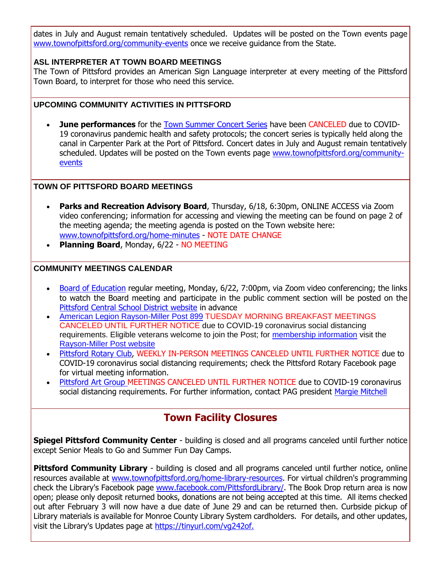dates in July and August remain tentatively scheduled. Updates will be posted on the Town events page [www.townofpittsford.org/community-events](http://r20.rs6.net/tn.jsp?f=001v0yuu2jarmQORDI6Qux3eY0sw4yONdYz4JnuAU3kYvPt4rLAmR9r2QFXnEfVvV0lPu4oxQ0PoSch_Fk4YqDNdv0dAQHBeqI8a-5D2uE61U84aiGkbqs1DAAO2BAmadcR9psJui99f897eDGkeh8sQA_PjxconnjDISXjtxOykmWKXQ3FlE_zcimSUJkvA8P8aECE0Rr5yeRKldinhN1vhZCjpTtyf6W0J3vKruYOzIrNPfoiSBsMiD-l-L77Bdpf1VjGFIK7ToGqizd1UEUq5KneU6Rw7WZy0QTrtaj2A2pphJy73N4epPj2E-YUXg2l&c=hlmTgFO8T4kKx8CVuWExAQ45Qnkhb-T3iUHIVULCXOJgIbPr7j_5yA==&ch=7j5P-rOAWbH3JZb2j2EUQrmAUttixFURbWf2XBrnGXfjcGfebUinXg==) once we receive guidance from the State.

#### **ASL INTERPRETER AT TOWN BOARD MEETINGS**

The Town of Pittsford provides an American Sign Language interpreter at every meeting of the Pittsford Town Board, to interpret for those who need this service.

#### **UPCOMING COMMUNITY ACTIVITIES IN PITTSFORD**

 **June performances** for the [Town Summer Concert Series](http://r20.rs6.net/tn.jsp?f=001v0yuu2jarmQORDI6Qux3eY0sw4yONdYz4JnuAU3kYvPt4rLAmR9r2bG-dFKYxaqnhDAQcxFPvDZpwAxYrZASQr1U7GkWj-q7PaIBJp5reMAIKU8bvqCWz5V2TiP_D_K5nD3JYpTpTsA8flBS8ObWPWQliNQtYXuxnDweWI7_aao-rhUT9Ymy6Ti6AtHmVaI7-2KIn__3JMXuNZN2nsco7lOPp55h-6SXoKBBE_yPJaJPi1pm4q2uf_2e3Sb1JDP2Hct0Xh1YGnY4lRBnyGr3G4EUbyZVBdHms3Tc756iWwuK-HSR4xkj1MnSf_zPby8_&c=hlmTgFO8T4kKx8CVuWExAQ45Qnkhb-T3iUHIVULCXOJgIbPr7j_5yA==&ch=7j5P-rOAWbH3JZb2j2EUQrmAUttixFURbWf2XBrnGXfjcGfebUinXg==) have been CANCELED due to COVID-19 coronavirus pandemic health and safety protocols; the concert series is typically held along the canal in Carpenter Park at the Port of Pittsford. Concert dates in July and August remain tentatively scheduled. Updates will be posted on the Town events page [www.townofpittsford.org/community](http://r20.rs6.net/tn.jsp?f=001v0yuu2jarmQORDI6Qux3eY0sw4yONdYz4JnuAU3kYvPt4rLAmR9r2QFXnEfVvV0lPu4oxQ0PoSch_Fk4YqDNdv0dAQHBeqI8a-5D2uE61U84aiGkbqs1DAAO2BAmadcR9psJui99f897eDGkeh8sQA_PjxconnjDISXjtxOykmWKXQ3FlE_zcimSUJkvA8P8aECE0Rr5yeRKldinhN1vhZCjpTtyf6W0J3vKruYOzIrNPfoiSBsMiD-l-L77Bdpf1VjGFIK7ToGqizd1UEUq5KneU6Rw7WZy0QTrtaj2A2pphJy73N4epPj2E-YUXg2l&c=hlmTgFO8T4kKx8CVuWExAQ45Qnkhb-T3iUHIVULCXOJgIbPr7j_5yA==&ch=7j5P-rOAWbH3JZb2j2EUQrmAUttixFURbWf2XBrnGXfjcGfebUinXg==)[events](http://r20.rs6.net/tn.jsp?f=001v0yuu2jarmQORDI6Qux3eY0sw4yONdYz4JnuAU3kYvPt4rLAmR9r2QFXnEfVvV0lPu4oxQ0PoSch_Fk4YqDNdv0dAQHBeqI8a-5D2uE61U84aiGkbqs1DAAO2BAmadcR9psJui99f897eDGkeh8sQA_PjxconnjDISXjtxOykmWKXQ3FlE_zcimSUJkvA8P8aECE0Rr5yeRKldinhN1vhZCjpTtyf6W0J3vKruYOzIrNPfoiSBsMiD-l-L77Bdpf1VjGFIK7ToGqizd1UEUq5KneU6Rw7WZy0QTrtaj2A2pphJy73N4epPj2E-YUXg2l&c=hlmTgFO8T4kKx8CVuWExAQ45Qnkhb-T3iUHIVULCXOJgIbPr7j_5yA==&ch=7j5P-rOAWbH3JZb2j2EUQrmAUttixFURbWf2XBrnGXfjcGfebUinXg==)

#### **TOWN OF PITTSFORD BOARD MEETINGS**

- **Parks and Recreation Advisory Board**, Thursday, 6/18, 6:30pm, ONLINE ACCESS via Zoom video conferencing; information for accessing and viewing the meeting can be found on page 2 of the meeting agenda; the meeting agenda is posted on the Town website here: [www.townofpittsford.org/home-minutes](http://r20.rs6.net/tn.jsp?f=001v0yuu2jarmQORDI6Qux3eY0sw4yONdYz4JnuAU3kYvPt4rLAmR9r2VCIvcc9G4QTAO3hJy4VJHwMhnUVFZCzEIFirW7mKUkLQrTMmSIYc11VQ8pEUPz7o8JmdkIcw65-DZWBMK925ptiVpLx4_-3Thqws399umveSJLA9IjKc4mFBybVLCYQ3F-fsHvoL-rOw6p9fz7Lua-VX-_efewbSy5_N1-sufl22WqLAKOdEKfCh3NNGFT4aJF5L-aIIIH2ZPEzgn9gxrs1XRDYx5jntt7x6BY0O1VFe1rRnmvacXFiqzCk4lHzSw==&c=hlmTgFO8T4kKx8CVuWExAQ45Qnkhb-T3iUHIVULCXOJgIbPr7j_5yA==&ch=7j5P-rOAWbH3JZb2j2EUQrmAUttixFURbWf2XBrnGXfjcGfebUinXg==) - NOTE DATE CHANGE
- **Planning Board**, Monday, 6/22 NO MEETING

#### **COMMUNITY MEETINGS CALENDAR**

- [Board of Education](http://r20.rs6.net/tn.jsp?f=001v0yuu2jarmQORDI6Qux3eY0sw4yONdYz4JnuAU3kYvPt4rLAmR9r2VOWWlQyYqLf4QINlYmRF68OlgvYeLdM2CjPY9ZcdhRRPyKICO_6tiKFY5RDKYHGmonI2FHXFF5FqkTubuyXtAM3xZ_OhDd1Y4DbfNSQ4JH4xuPDVJTMMzwxRVq_7FXB57AYcqFkavX1LRpi5ChBIofd55fEx0-DMLZqY9j7LyIEtd_zpO8bI78FLiwSUq0Cdg2v8pZVlSHvM_BQrRTiHq3fATElz9SORO7149XX1Sj8cSFr9Gp5DPc2l12aF9KOfCCTHrjhlHbguqJIlFQ-hECW23njlUrrw1WgOnT3wi3UfkGoyUHi0N_w50u71EtJZC1s-_Dvmb7tkQdpnVF7AGXiT_8qpwjc3DchVBy-llzh&c=hlmTgFO8T4kKx8CVuWExAQ45Qnkhb-T3iUHIVULCXOJgIbPr7j_5yA==&ch=7j5P-rOAWbH3JZb2j2EUQrmAUttixFURbWf2XBrnGXfjcGfebUinXg==) regular meeting, Monday, 6/22, 7:00pm, via Zoom video conferencing; the links to watch the Board meeting and participate in the public comment section will be posted on the [Pittsford Central School District website](http://r20.rs6.net/tn.jsp?f=001v0yuu2jarmQORDI6Qux3eY0sw4yONdYz4JnuAU3kYvPt4rLAmR9r2c2DrB9dTZAZ3dyauWkSE3-PsM19JD7hVoT8ZCvYjdxgUxE2EkDgM_sHyY70WxbYfF8HgfmbE0hjjtDZhqaj5AbRng8bos5Z4Vp9H2TG_2FCsi6dZ09EZd2MkC5PMomX175RIu1kmTqzmrfx4XDjSI68tv9NUi-5dHxYLvqn2X6YUKOTmFcqczqYasucruwJB01MnU-FRjMXmKjlgNvDZ-d2MUow0QcV3aGVNduc-FrvxwP3CmVNGrs=&c=hlmTgFO8T4kKx8CVuWExAQ45Qnkhb-T3iUHIVULCXOJgIbPr7j_5yA==&ch=7j5P-rOAWbH3JZb2j2EUQrmAUttixFURbWf2XBrnGXfjcGfebUinXg==) in advance
- [American Legion Rayson-Miller Post 899](http://r20.rs6.net/tn.jsp?f=001v0yuu2jarmQORDI6Qux3eY0sw4yONdYz4JnuAU3kYvPt4rLAmR9r2S1GYiZVR9iRhL3TSRAXsEaX0M-0q-VRQNXbAZr27iHG8nZbXz36Yx-Q9tJA6sO_23lZkdyeUuMkPCXS8mS1bPEqg3czLGtJ_3UQqtN2EiNtx_TkATyuRZjs9CUKCmxlsYiXz_8vN5qGTGzpdlv5iU8fDMTqQg6WEiIEZ9wgS5OWIMBFmP76haxrTYSDPHTGupwMEyQubwJD89L5JXE5swW9Sn-f4YbGbA4ipWUI2vuU7dMvsvj2Ugh6lO3-Hx3TMA==&c=hlmTgFO8T4kKx8CVuWExAQ45Qnkhb-T3iUHIVULCXOJgIbPr7j_5yA==&ch=7j5P-rOAWbH3JZb2j2EUQrmAUttixFURbWf2XBrnGXfjcGfebUinXg==) TUESDAY MORNING BREAKFAST MEETINGS CANCELED UNTIL FURTHER NOTICE due to COVID-19 coronavirus social distancing requirements. Eligible veterans welcome to join the Post; for [membership information](http://r20.rs6.net/tn.jsp?f=001v0yuu2jarmQORDI6Qux3eY0sw4yONdYz4JnuAU3kYvPt4rLAmR9r2S1GYiZVR9iRZuDsjtKYfD6HBvVZNgeItsRJqdrLFD3aNC-z5rdUGZ0_b9nFUICM2uzXRFHNdQhzCOf1GfZ-NPNaEsERL46JlW6nL5Jy_AA_li1kUOAI7ke_k0DJti4d_cVguhgEIYWmkhRrbvlaQjG5Re9qZHtxJjlEnGLIIqRC4HxNOywFu3H457qk0b8hzXzjTw3TfK0z0seTdiUtsw002N-GW-9Y5h-d7dL0IMNo49VwJagspEjyzkpYx48xDAWXey3QIrbc9O01Hx3CCZs=&c=hlmTgFO8T4kKx8CVuWExAQ45Qnkhb-T3iUHIVULCXOJgIbPr7j_5yA==&ch=7j5P-rOAWbH3JZb2j2EUQrmAUttixFURbWf2XBrnGXfjcGfebUinXg==) visit the [Rayson-Miller Post website](http://r20.rs6.net/tn.jsp?f=001v0yuu2jarmQORDI6Qux3eY0sw4yONdYz4JnuAU3kYvPt4rLAmR9r2XIQ0PpMkTKRzTj-I_zkJxG0UkkhNhDwlUjl5IzxOJmXHzE9SSLH5s5Y-4nAn6NnWHJn68VTpYlO9VQTbWt8yELaumD89wXQsJC7kTDSWvJNOkcupgoNupfVgdXL2pt9B1dRjkMUGYssZJLo400dpeAyGWU2P_vVp7k52Z6g4kjyWYG7rKO2Sl36fu271WL2fcx3yJV8QvwOZwkSTUPEFk4nt_TWG78FV5u2D3inC4IpmyqaaNXdCjcFF3_0q8GLi2rB92eLnMm7VGuLSnH1vNe1ahr6Lw75Pfazn1nKNKifSVK9_tHurALjmMcFgxDL1He5xsLjgLrUJ8CX21z3wTA=&c=hlmTgFO8T4kKx8CVuWExAQ45Qnkhb-T3iUHIVULCXOJgIbPr7j_5yA==&ch=7j5P-rOAWbH3JZb2j2EUQrmAUttixFURbWf2XBrnGXfjcGfebUinXg==)
- [Pittsford Rotary Club,](http://r20.rs6.net/tn.jsp?f=001v0yuu2jarmQORDI6Qux3eY0sw4yONdYz4JnuAU3kYvPt4rLAmR9r2VCIvcc9G4QTITLcaiqlmhc52zNAPV8iFvagzC6m3zUsaFCj2QRi9wMiHknyc9y6bL_X64pEbsMdfeKRZ9_svsK9xO8s6nOjZycUPkOQX6x3pC6Y2I6ZknVfzCVcvHtcduP5uy5mTlolDjZG_FtWsn3tCnRj9aUutIe5lx4098lQUXIZOwA7VLFZpgSrauOAooWczxDL0kt_E8UuU5SQF0vrxe7xaV1-tmTvS8z7LMspasRusLEwbQ8=&c=hlmTgFO8T4kKx8CVuWExAQ45Qnkhb-T3iUHIVULCXOJgIbPr7j_5yA==&ch=7j5P-rOAWbH3JZb2j2EUQrmAUttixFURbWf2XBrnGXfjcGfebUinXg==) WEEKLY IN-PERSON MEETINGS CANCELED UNTIL FURTHER NOTICE due to COVID-19 coronavirus social distancing requirements; check the Pittsford Rotary Facebook page for virtual meeting information.
- [Pittsford Art Group M](https://pittsfordartgroup.wordpress.com/?utm_source=eNews+6-17-20&utm_campaign=eNews+06-17-20&utm_medium=email)EETINGS CANCELED UNTIL FURTHER NOTICE due to COVID-19 coronavirus social distancing requirements. For further information, contact PAG president [Margie Mitchell](mailto:mhsmitchell@gmail.com?subject=Pittsford%20Art%20Group%20Meetings%20and%20Membership)

### **Town Facility Closures**

**Spiegel Pittsford Community Center** - building is closed and all programs canceled until further notice except Senior Meals to Go and Summer Fun Day Camps.

**Pittsford Community Library** - building is closed and all programs canceled until further notice, online resources available at [www.townofpittsford.org/home-library-resources.](http://r20.rs6.net/tn.jsp?f=001v0yuu2jarmQORDI6Qux3eY0sw4yONdYz4JnuAU3kYvPt4rLAmR9r2W9JwrKFj6LAT6Wz_ADZttq92S-UA7nBa8iStcF_5Euz7pd1jSIEnBGUZ5MD8b-wrw_ojSUdDMN47WwNJ5nvYhjcDWfFvzugU2OKM9pyMGynIiIYZAli5_MgndReFZffel3SxJrkZtDFcRTAadhPSF73Y9n7etXxhCEcUSVvzrHpt7wZXNLGzJpE2jle8l9ygqZ-69pHIg3EMvabpHpTE8ac88l0E_HmeNTDcyAsKeeIOIOXR3pKrHKwP4uATTE5dKzx7vobrxRy7zElHLaCDbM=&c=hlmTgFO8T4kKx8CVuWExAQ45Qnkhb-T3iUHIVULCXOJgIbPr7j_5yA==&ch=7j5P-rOAWbH3JZb2j2EUQrmAUttixFURbWf2XBrnGXfjcGfebUinXg==) For virtual children's programming check the Library's Facebook page [www.facebook.com/PittsfordLibrary/.](http://r20.rs6.net/tn.jsp?f=001v0yuu2jarmQORDI6Qux3eY0sw4yONdYz4JnuAU3kYvPt4rLAmR9r2Wcf5l-YtgiQJsk6fhJZtc35zvgEx96qpw6OCpp5GHkO66cYMb8kCGN4n3fwXGPRwm7AmKDvQbhQNV86zip5nCiS8yaXZzc9HM9ZdNaXiL6QHsU3RFlrb1xLSB89o-Unxo4axN-r0ue41c9M59iJ4fg=&c=hlmTgFO8T4kKx8CVuWExAQ45Qnkhb-T3iUHIVULCXOJgIbPr7j_5yA==&ch=7j5P-rOAWbH3JZb2j2EUQrmAUttixFURbWf2XBrnGXfjcGfebUinXg==) The Book Drop return area is now open; please only deposit returned books, donations are not being accepted at this time. All items checked out after February 3 will now have a due date of June 29 and can be returned then. Curbside pickup of Library materials is available for Monroe County Library System cardholders. For details, and other updates, visit the Library's Updates page at [https://tinyurl.com/vg242of.](http://r20.rs6.net/tn.jsp?f=001v0yuu2jarmQORDI6Qux3eY0sw4yONdYz4JnuAU3kYvPt4rLAmR9r2Wcf5l-YtgiQe4UWAtD3NxMoK_QYUQu3sZCFMzQr5oVQ9H6SXHze-tnaNYvI8c7YQp89f6eCDdT2--FUMF8ZxPvGKi255YpPZDLwdHm8Ypt69i9SBHBeySaDalm9Vn3yKg==&c=hlmTgFO8T4kKx8CVuWExAQ45Qnkhb-T3iUHIVULCXOJgIbPr7j_5yA==&ch=7j5P-rOAWbH3JZb2j2EUQrmAUttixFURbWf2XBrnGXfjcGfebUinXg==)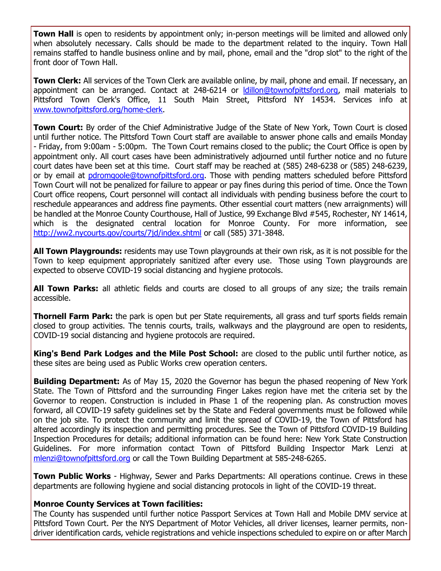**Town Hall** is open to residents by appointment only; in-person meetings will be limited and allowed only when absolutely necessary. Calls should be made to the department related to the inquiry. Town Hall remains staffed to handle business online and by mail, phone, email and the "drop slot" to the right of the front door of Town Hall.

**Town Clerk:** All services of the Town Clerk are available online, by mail, phone and email. If necessary, an appointment can be arranged. Contact at 248-6214 or [ldillon@townofpittsford.org,](mailto:ldillon@townofpittsford.org) mail materials to Pittsford Town Clerk's Office, 11 South Main Street, Pittsford NY 14534. Services info at [www.townofpittsford.org/home-clerk.](http://r20.rs6.net/tn.jsp?f=001v0yuu2jarmQORDI6Qux3eY0sw4yONdYz4JnuAU3kYvPt4rLAmR9r2W9JwrKFj6LAR_FijCKlQumMylWLAFZI5ssQZxixyM_BZpQhRnP_3jFGEIfzIyleLe178VgrHRgy0C_pHxgYL1OpRC1cA12jQGyx4BvYXs4spKA1pq0GQmeqV6v58UpXRO5YViH1KMHEUeNhZO1yKLom8EwMacbU32xFSRRIhdRTo_RXa8nFi3Nv36NI3BSzpAF-zHaxpuiKKURg8b9UQ_1nsC38ymVOeWfe8nPJ9RlIcKr5Pj28IbyZT1OnexkuGA==&c=hlmTgFO8T4kKx8CVuWExAQ45Qnkhb-T3iUHIVULCXOJgIbPr7j_5yA==&ch=7j5P-rOAWbH3JZb2j2EUQrmAUttixFURbWf2XBrnGXfjcGfebUinXg==)

**Town Court:** By order of the Chief Administrative Judge of the State of New York, Town Court is closed until further notice. The Pittsford Town Court staff are available to answer phone calls and emails Monday - Friday, from 9:00am - 5:00pm. The Town Court remains closed to the public; the Court Office is open by appointment only. All court cases have been administratively adjourned until further notice and no future court dates have been set at this time. Court staff may be reached at (585) 248-6238 or (585) 248-6239, or by email at [pdromgoole@townofpittsford.org.](mailto:pdromgoole@townofpittsford.org) Those with pending matters scheduled before Pittsford Town Court will not be penalized for failure to appear or pay fines during this period of time. Once the Town Court office reopens, Court personnel will contact all individuals with pending business before the court to reschedule appearances and address fine payments. Other essential court matters (new arraignments) will be handled at the Monroe County Courthouse, Hall of Justice, 99 Exchange Blvd #545, Rochester, NY 14614, which is the designated central location for Monroe County. For more information, see [http://ww2.nycourts.gov/courts/7jd/index.shtml](http://r20.rs6.net/tn.jsp?f=001v0yuu2jarmQORDI6Qux3eY0sw4yONdYz4JnuAU3kYvPt4rLAmR9r2WprczwirYyOtMwkATJNTZdWxRh8d7f3fE3HCOFMJWK3uq9sFt6P2SclSwcmGd2Bda2YRVUi3-5s9Hy-5paRD4801_Bik5Ded-FEb8h-gTwFPJ4zkO2WOM4Kwg9gUj3i48NFh4yGpb5vixQ0xrDUatCJ-EfMYWEiozQ0p1jJvuuyMAtykyJUgWF5oNdUdTWld9QnILNF_fDUr5DrtoJVOqbbuWKe0QZL4zfhy3XZPcaL0vGONV3QqesDMjGDx0z9eX0uROwEiNcF&c=hlmTgFO8T4kKx8CVuWExAQ45Qnkhb-T3iUHIVULCXOJgIbPr7j_5yA==&ch=7j5P-rOAWbH3JZb2j2EUQrmAUttixFURbWf2XBrnGXfjcGfebUinXg==) or call (585) 371-3848.

**All Town Playgrounds:** residents may use Town playgrounds at their own risk, as it is not possible for the Town to keep equipment appropriately sanitized after every use. Those using Town playgrounds are expected to observe COVID-19 social distancing and hygiene protocols.

**All Town Parks:** all athletic fields and courts are closed to all groups of any size; the trails remain accessible.

**Thornell Farm Park:** the park is open but per State requirements, all grass and turf sports fields remain closed to group activities. The tennis courts, trails, walkways and the playground are open to residents, COVID-19 social distancing and hygiene protocols are required.

**King's Bend Park Lodges and the Mile Post School:** are closed to the public until further notice, as these sites are being used as Public Works crew operation centers.

**Building Department:** As of May 15, 2020 the Governor has begun the phased reopening of New York State. The Town of Pittsford and the surrounding Finger Lakes region have met the criteria set by the Governor to reopen. Construction is included in Phase 1 of the reopening plan. As construction moves forward, all COVID-19 safety guidelines set by the State and Federal governments must be followed while on the job site. To protect the community and limit the spread of COVID-19, the Town of Pittsford has altered accordingly its inspection and permitting procedures. See the Town of Pittsford COVID-19 Building Inspection Procedures for details; additional information can be found here: New York State Construction Guidelines. For more information contact Town of Pittsford Building Inspector Mark Lenzi at [mlenzi@townofpittsford.org](mailto:mlenzi@townofpittsford.org?subject=COVID-19%20Construciton%20Information) or call the Town Building Department at 585-248-6265.

**Town Public Works** - Highway, Sewer and Parks Departments: All operations continue. Crews in these departments are following hygiene and social distancing protocols in light of the COVID-19 threat.

#### **Monroe County Services at Town facilities:**

The County has suspended until further notice Passport Services at Town Hall and Mobile DMV service at Pittsford Town Court. Per the NYS Department of Motor Vehicles, all driver licenses, learner permits, nondriver identification cards, vehicle registrations and vehicle inspections scheduled to expire on or after March